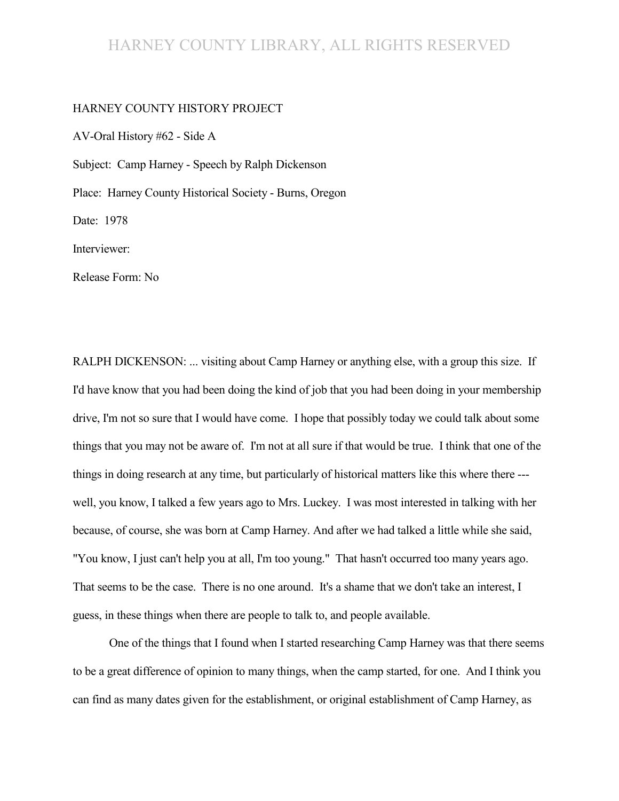# HARNEY COUNTY LIBRARY, ALL RIGHTS RESERVED

#### HARNEY COUNTY HISTORY PROJECT

AV-Oral History #62 - Side A Subject: Camp Harney - Speech by Ralph Dickenson Place: Harney County Historical Society - Burns, Oregon Date: 1978 Interviewer:

Release Form: No

RALPH DICKENSON: ... visiting about Camp Harney or anything else, with a group this size. If I'd have know that you had been doing the kind of job that you had been doing in your membership drive, I'm not so sure that I would have come. I hope that possibly today we could talk about some things that you may not be aware of. I'm not at all sure if that would be true. I think that one of the things in doing research at any time, but particularly of historical matters like this where there -- well, you know, I talked a few years ago to Mrs. Luckey. I was most interested in talking with her because, of course, she was born at Camp Harney. And after we had talked a little while she said, "You know, I just can't help you at all, I'm too young." That hasn't occurred too many years ago. That seems to be the case. There is no one around. It's a shame that we don't take an interest, I guess, in these things when there are people to talk to, and people available.

One of the things that I found when I started researching Camp Harney was that there seems to be a great difference of opinion to many things, when the camp started, for one. And I think you can find as many dates given for the establishment, or original establishment of Camp Harney, as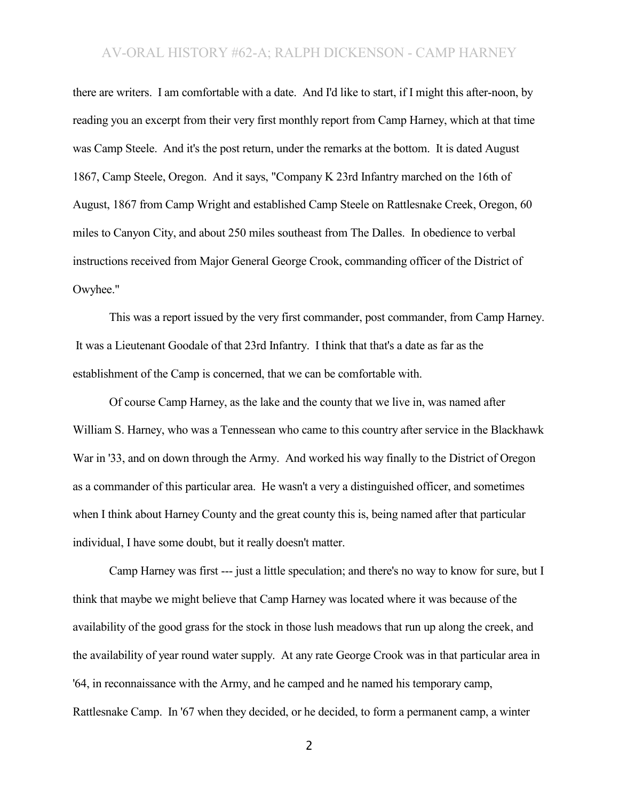there are writers. I am comfortable with a date. And I'd like to start, if I might this after-noon, by reading you an excerpt from their very first monthly report from Camp Harney, which at that time was Camp Steele. And it's the post return, under the remarks at the bottom. It is dated August 1867, Camp Steele, Oregon. And it says, "Company K 23rd Infantry marched on the 16th of August, 1867 from Camp Wright and established Camp Steele on Rattlesnake Creek, Oregon, 60 miles to Canyon City, and about 250 miles southeast from The Dalles. In obedience to verbal instructions received from Major General George Crook, commanding officer of the District of Owyhee."

This was a report issued by the very first commander, post commander, from Camp Harney. It was a Lieutenant Goodale of that 23rd Infantry. I think that that's a date as far as the establishment of the Camp is concerned, that we can be comfortable with.

Of course Camp Harney, as the lake and the county that we live in, was named after William S. Harney, who was a Tennessean who came to this country after service in the Blackhawk War in '33, and on down through the Army. And worked his way finally to the District of Oregon as a commander of this particular area. He wasn't a very a distinguished officer, and sometimes when I think about Harney County and the great county this is, being named after that particular individual, I have some doubt, but it really doesn't matter.

Camp Harney was first --- just a little speculation; and there's no way to know for sure, but I think that maybe we might believe that Camp Harney was located where it was because of the availability of the good grass for the stock in those lush meadows that run up along the creek, and the availability of year round water supply. At any rate George Crook was in that particular area in '64, in reconnaissance with the Army, and he camped and he named his temporary camp, Rattlesnake Camp. In '67 when they decided, or he decided, to form a permanent camp, a winter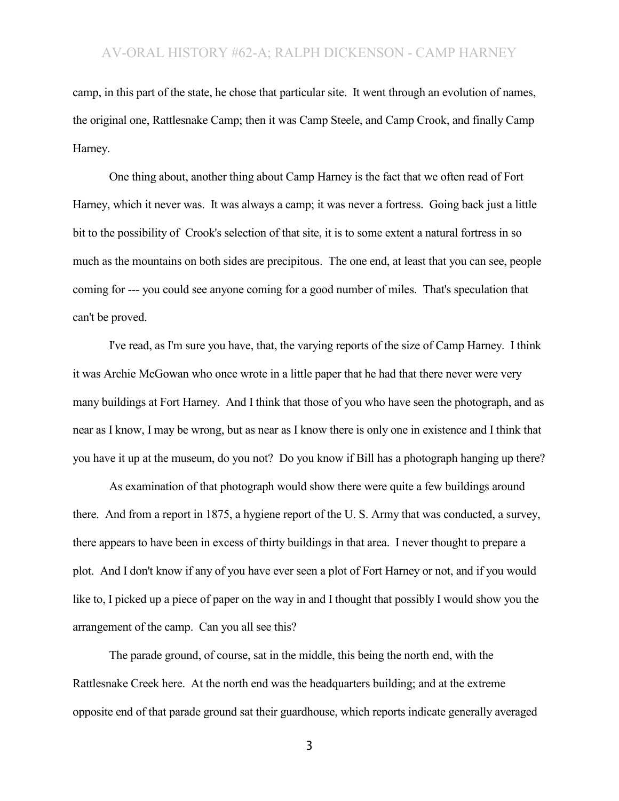camp, in this part of the state, he chose that particular site. It went through an evolution of names, the original one, Rattlesnake Camp; then it was Camp Steele, and Camp Crook, and finally Camp Harney.

One thing about, another thing about Camp Harney is the fact that we often read of Fort Harney, which it never was. It was always a camp; it was never a fortress. Going back just a little bit to the possibility of Crook's selection of that site, it is to some extent a natural fortress in so much as the mountains on both sides are precipitous. The one end, at least that you can see, people coming for --- you could see anyone coming for a good number of miles. That's speculation that can't be proved.

I've read, as I'm sure you have, that, the varying reports of the size of Camp Harney. I think it was Archie McGowan who once wrote in a little paper that he had that there never were very many buildings at Fort Harney. And I think that those of you who have seen the photograph, and as near as I know, I may be wrong, but as near as I know there is only one in existence and I think that you have it up at the museum, do you not? Do you know if Bill has a photograph hanging up there?

As examination of that photograph would show there were quite a few buildings around there. And from a report in 1875, a hygiene report of the U. S. Army that was conducted, a survey, there appears to have been in excess of thirty buildings in that area. I never thought to prepare a plot. And I don't know if any of you have ever seen a plot of Fort Harney or not, and if you would like to, I picked up a piece of paper on the way in and I thought that possibly I would show you the arrangement of the camp. Can you all see this?

The parade ground, of course, sat in the middle, this being the north end, with the Rattlesnake Creek here. At the north end was the headquarters building; and at the extreme opposite end of that parade ground sat their guardhouse, which reports indicate generally averaged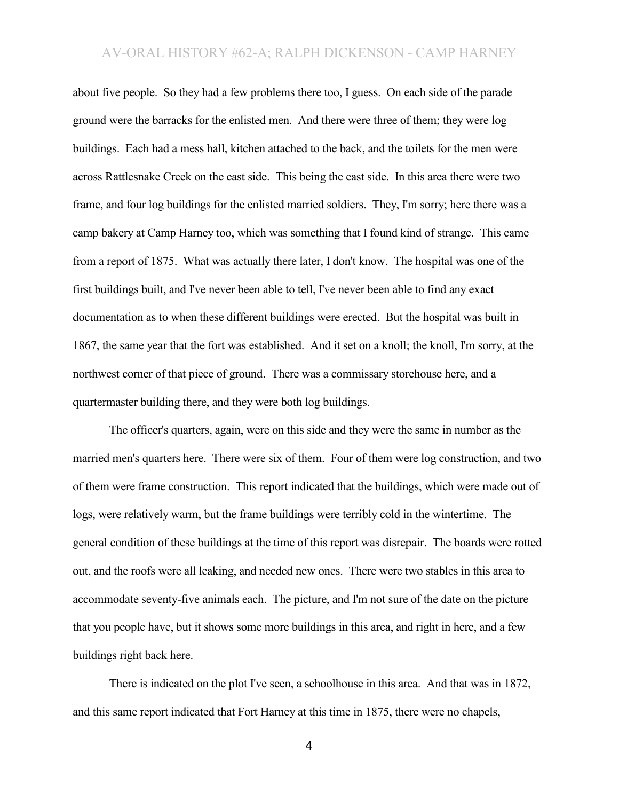about five people. So they had a few problems there too, I guess. On each side of the parade ground were the barracks for the enlisted men. And there were three of them; they were log buildings. Each had a mess hall, kitchen attached to the back, and the toilets for the men were across Rattlesnake Creek on the east side. This being the east side. In this area there were two frame, and four log buildings for the enlisted married soldiers. They, I'm sorry; here there was a camp bakery at Camp Harney too, which was something that I found kind of strange. This came from a report of 1875. What was actually there later, I don't know. The hospital was one of the first buildings built, and I've never been able to tell, I've never been able to find any exact documentation as to when these different buildings were erected. But the hospital was built in 1867, the same year that the fort was established. And it set on a knoll; the knoll, I'm sorry, at the northwest corner of that piece of ground. There was a commissary storehouse here, and a quartermaster building there, and they were both log buildings.

The officer's quarters, again, were on this side and they were the same in number as the married men's quarters here. There were six of them. Four of them were log construction, and two of them were frame construction. This report indicated that the buildings, which were made out of logs, were relatively warm, but the frame buildings were terribly cold in the wintertime. The general condition of these buildings at the time of this report was disrepair. The boards were rotted out, and the roofs were all leaking, and needed new ones. There were two stables in this area to accommodate seventy-five animals each. The picture, and I'm not sure of the date on the picture that you people have, but it shows some more buildings in this area, and right in here, and a few buildings right back here.

There is indicated on the plot I've seen, a schoolhouse in this area. And that was in 1872, and this same report indicated that Fort Harney at this time in 1875, there were no chapels,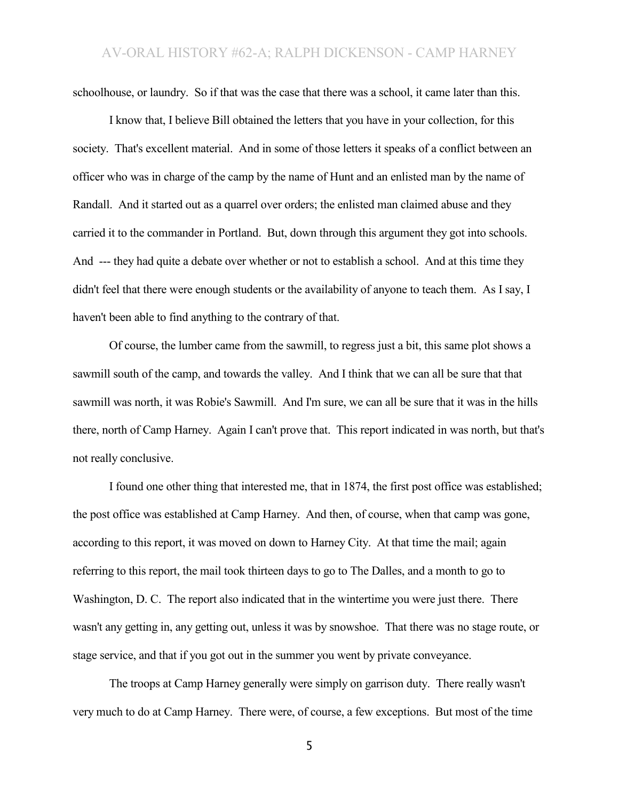schoolhouse, or laundry. So if that was the case that there was a school, it came later than this.

I know that, I believe Bill obtained the letters that you have in your collection, for this society. That's excellent material. And in some of those letters it speaks of a conflict between an officer who was in charge of the camp by the name of Hunt and an enlisted man by the name of Randall. And it started out as a quarrel over orders; the enlisted man claimed abuse and they carried it to the commander in Portland. But, down through this argument they got into schools. And --- they had quite a debate over whether or not to establish a school. And at this time they didn't feel that there were enough students or the availability of anyone to teach them. As I say, I haven't been able to find anything to the contrary of that.

Of course, the lumber came from the sawmill, to regress just a bit, this same plot shows a sawmill south of the camp, and towards the valley. And I think that we can all be sure that that sawmill was north, it was Robie's Sawmill. And I'm sure, we can all be sure that it was in the hills there, north of Camp Harney. Again I can't prove that. This report indicated in was north, but that's not really conclusive.

I found one other thing that interested me, that in 1874, the first post office was established; the post office was established at Camp Harney. And then, of course, when that camp was gone, according to this report, it was moved on down to Harney City. At that time the mail; again referring to this report, the mail took thirteen days to go to The Dalles, and a month to go to Washington, D. C. The report also indicated that in the wintertime you were just there. There wasn't any getting in, any getting out, unless it was by snowshoe. That there was no stage route, or stage service, and that if you got out in the summer you went by private conveyance.

The troops at Camp Harney generally were simply on garrison duty. There really wasn't very much to do at Camp Harney. There were, of course, a few exceptions. But most of the time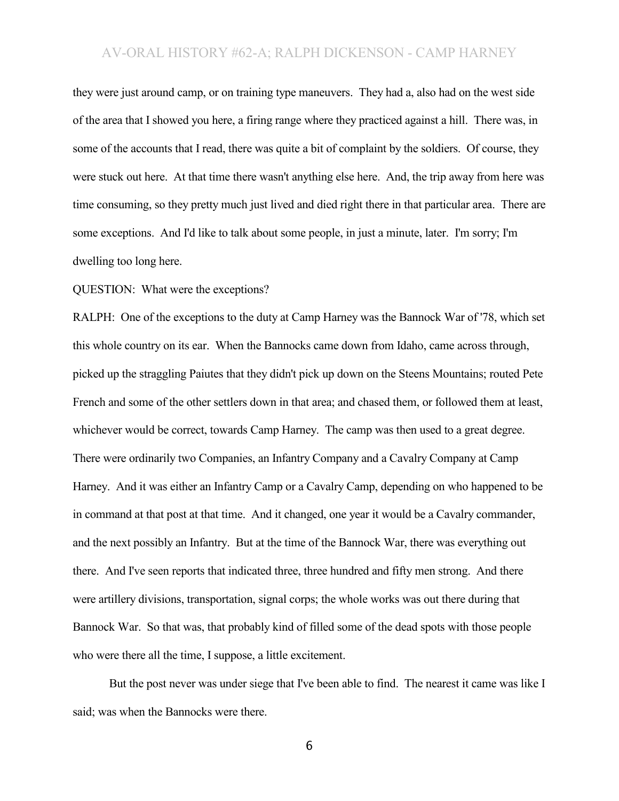they were just around camp, or on training type maneuvers. They had a, also had on the west side of the area that I showed you here, a firing range where they practiced against a hill. There was, in some of the accounts that I read, there was quite a bit of complaint by the soldiers. Of course, they were stuck out here. At that time there wasn't anything else here. And, the trip away from here was time consuming, so they pretty much just lived and died right there in that particular area. There are some exceptions. And I'd like to talk about some people, in just a minute, later. I'm sorry; I'm dwelling too long here.

QUESTION: What were the exceptions?

RALPH: One of the exceptions to the duty at Camp Harney was the Bannock War of '78, which set this whole country on its ear. When the Bannocks came down from Idaho, came across through, picked up the straggling Paiutes that they didn't pick up down on the Steens Mountains; routed Pete French and some of the other settlers down in that area; and chased them, or followed them at least, whichever would be correct, towards Camp Harney. The camp was then used to a great degree. There were ordinarily two Companies, an Infantry Company and a Cavalry Company at Camp Harney. And it was either an Infantry Camp or a Cavalry Camp, depending on who happened to be in command at that post at that time. And it changed, one year it would be a Cavalry commander, and the next possibly an Infantry. But at the time of the Bannock War, there was everything out there. And I've seen reports that indicated three, three hundred and fifty men strong. And there were artillery divisions, transportation, signal corps; the whole works was out there during that Bannock War. So that was, that probably kind of filled some of the dead spots with those people who were there all the time, I suppose, a little excitement.

But the post never was under siege that I've been able to find. The nearest it came was like I said; was when the Bannocks were there.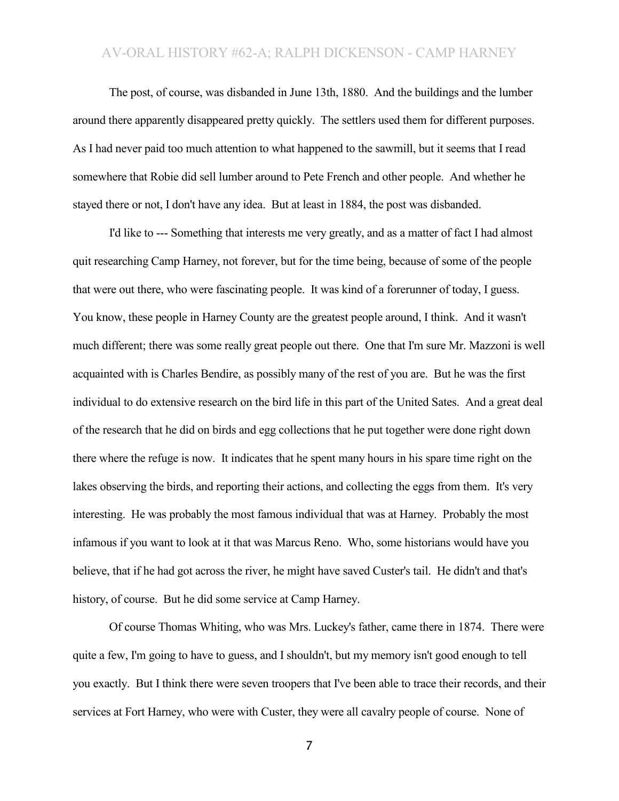The post, of course, was disbanded in June 13th, 1880. And the buildings and the lumber around there apparently disappeared pretty quickly. The settlers used them for different purposes. As I had never paid too much attention to what happened to the sawmill, but it seems that I read somewhere that Robie did sell lumber around to Pete French and other people. And whether he stayed there or not, I don't have any idea. But at least in 1884, the post was disbanded.

I'd like to --- Something that interests me very greatly, and as a matter of fact I had almost quit researching Camp Harney, not forever, but for the time being, because of some of the people that were out there, who were fascinating people. It was kind of a forerunner of today, I guess. You know, these people in Harney County are the greatest people around, I think. And it wasn't much different; there was some really great people out there. One that I'm sure Mr. Mazzoni is well acquainted with is Charles Bendire, as possibly many of the rest of you are. But he was the first individual to do extensive research on the bird life in this part of the United Sates. And a great deal of the research that he did on birds and egg collections that he put together were done right down there where the refuge is now. It indicates that he spent many hours in his spare time right on the lakes observing the birds, and reporting their actions, and collecting the eggs from them. It's very interesting. He was probably the most famous individual that was at Harney. Probably the most infamous if you want to look at it that was Marcus Reno. Who, some historians would have you believe, that if he had got across the river, he might have saved Custer's tail. He didn't and that's history, of course. But he did some service at Camp Harney.

Of course Thomas Whiting, who was Mrs. Luckey's father, came there in 1874. There were quite a few, I'm going to have to guess, and I shouldn't, but my memory isn't good enough to tell you exactly. But I think there were seven troopers that I've been able to trace their records, and their services at Fort Harney, who were with Custer, they were all cavalry people of course. None of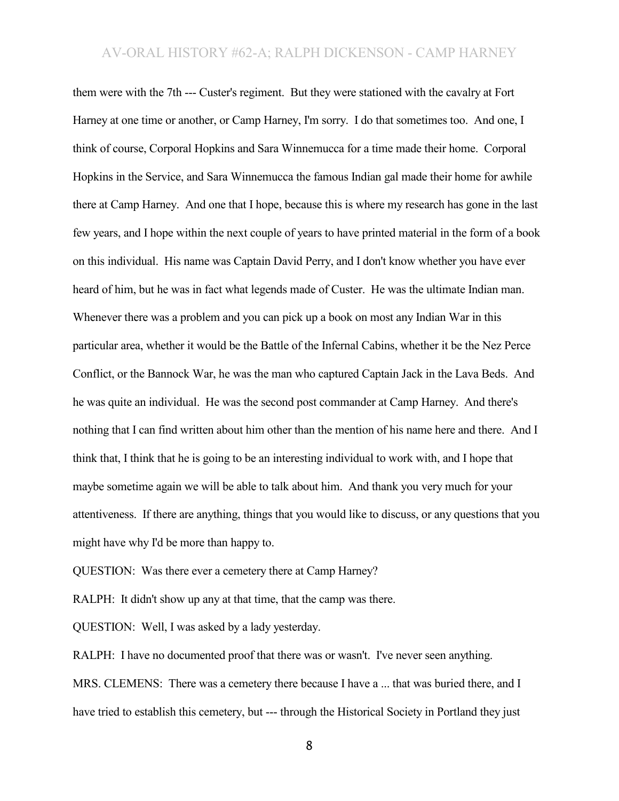them were with the 7th --- Custer's regiment. But they were stationed with the cavalry at Fort Harney at one time or another, or Camp Harney, I'm sorry. I do that sometimes too. And one, I think of course, Corporal Hopkins and Sara Winnemucca for a time made their home. Corporal Hopkins in the Service, and Sara Winnemucca the famous Indian gal made their home for awhile there at Camp Harney. And one that I hope, because this is where my research has gone in the last few years, and I hope within the next couple of years to have printed material in the form of a book on this individual. His name was Captain David Perry, and I don't know whether you have ever heard of him, but he was in fact what legends made of Custer. He was the ultimate Indian man. Whenever there was a problem and you can pick up a book on most any Indian War in this particular area, whether it would be the Battle of the Infernal Cabins, whether it be the Nez Perce Conflict, or the Bannock War, he was the man who captured Captain Jack in the Lava Beds. And he was quite an individual. He was the second post commander at Camp Harney. And there's nothing that I can find written about him other than the mention of his name here and there. And I think that, I think that he is going to be an interesting individual to work with, and I hope that maybe sometime again we will be able to talk about him. And thank you very much for your attentiveness. If there are anything, things that you would like to discuss, or any questions that you might have why I'd be more than happy to.

QUESTION: Was there ever a cemetery there at Camp Harney?

RALPH: It didn't show up any at that time, that the camp was there.

QUESTION: Well, I was asked by a lady yesterday.

RALPH: I have no documented proof that there was or wasn't. I've never seen anything. MRS. CLEMENS: There was a cemetery there because I have a ... that was buried there, and I have tried to establish this cemetery, but --- through the Historical Society in Portland they just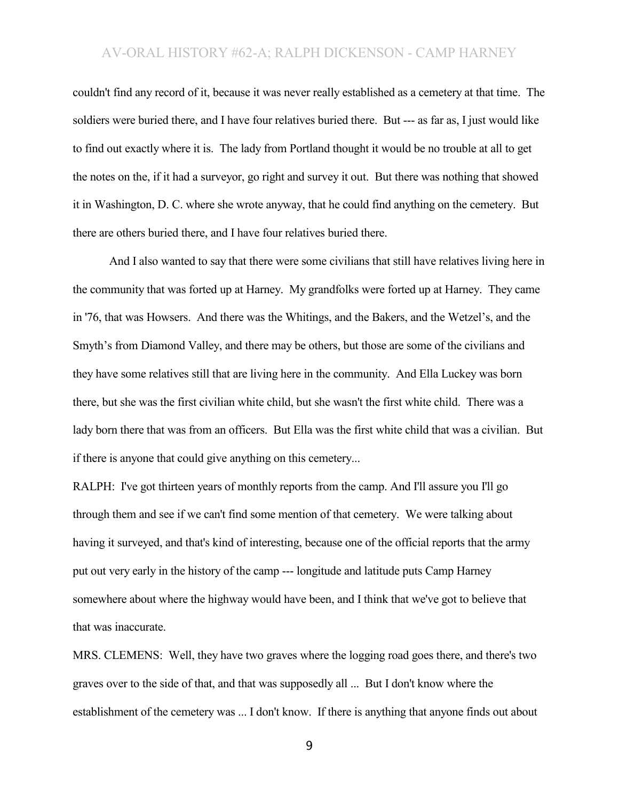couldn't find any record of it, because it was never really established as a cemetery at that time. The soldiers were buried there, and I have four relatives buried there. But --- as far as, I just would like to find out exactly where it is. The lady from Portland thought it would be no trouble at all to get the notes on the, if it had a surveyor, go right and survey it out. But there was nothing that showed it in Washington, D. C. where she wrote anyway, that he could find anything on the cemetery. But there are others buried there, and I have four relatives buried there.

And I also wanted to say that there were some civilians that still have relatives living here in the community that was forted up at Harney. My grandfolks were forted up at Harney. They came in '76, that was Howsers. And there was the Whitings, and the Bakers, and the Wetzel's, and the Smyth's from Diamond Valley, and there may be others, but those are some of the civilians and they have some relatives still that are living here in the community. And Ella Luckey was born there, but she was the first civilian white child, but she wasn't the first white child. There was a lady born there that was from an officers. But Ella was the first white child that was a civilian. But if there is anyone that could give anything on this cemetery...

RALPH: I've got thirteen years of monthly reports from the camp. And I'll assure you I'll go through them and see if we can't find some mention of that cemetery. We were talking about having it surveyed, and that's kind of interesting, because one of the official reports that the army put out very early in the history of the camp --- longitude and latitude puts Camp Harney somewhere about where the highway would have been, and I think that we've got to believe that that was inaccurate.

MRS. CLEMENS: Well, they have two graves where the logging road goes there, and there's two graves over to the side of that, and that was supposedly all ... But I don't know where the establishment of the cemetery was ... I don't know. If there is anything that anyone finds out about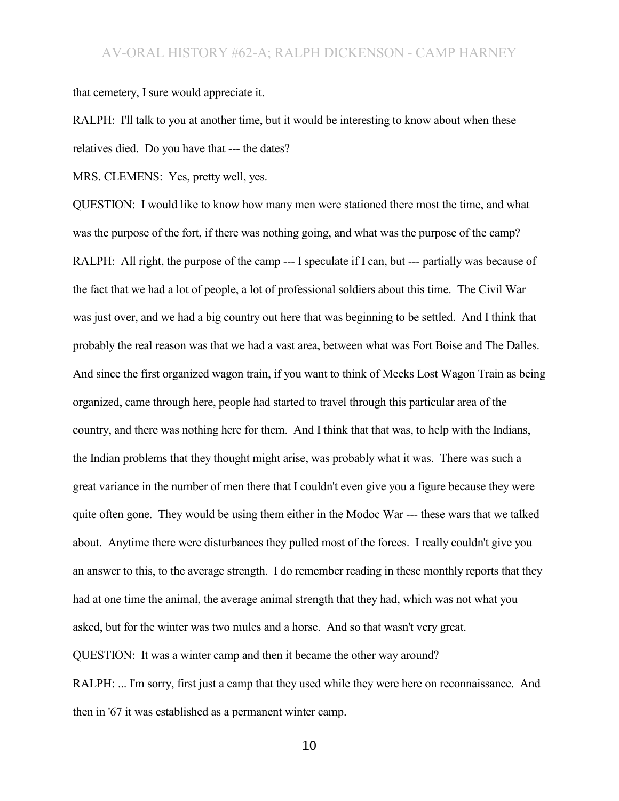that cemetery, I sure would appreciate it.

RALPH: I'll talk to you at another time, but it would be interesting to know about when these relatives died. Do you have that --- the dates?

MRS. CLEMENS: Yes, pretty well, yes.

QUESTION: I would like to know how many men were stationed there most the time, and what was the purpose of the fort, if there was nothing going, and what was the purpose of the camp? RALPH: All right, the purpose of the camp --- I speculate if I can, but --- partially was because of the fact that we had a lot of people, a lot of professional soldiers about this time. The Civil War was just over, and we had a big country out here that was beginning to be settled. And I think that probably the real reason was that we had a vast area, between what was Fort Boise and The Dalles. And since the first organized wagon train, if you want to think of Meeks Lost Wagon Train as being organized, came through here, people had started to travel through this particular area of the country, and there was nothing here for them. And I think that that was, to help with the Indians, the Indian problems that they thought might arise, was probably what it was. There was such a great variance in the number of men there that I couldn't even give you a figure because they were quite often gone. They would be using them either in the Modoc War --- these wars that we talked about. Anytime there were disturbances they pulled most of the forces. I really couldn't give you an answer to this, to the average strength. I do remember reading in these monthly reports that they had at one time the animal, the average animal strength that they had, which was not what you asked, but for the winter was two mules and a horse. And so that wasn't very great. QUESTION: It was a winter camp and then it became the other way around?

RALPH: ... I'm sorry, first just a camp that they used while they were here on reconnaissance. And then in '67 it was established as a permanent winter camp.